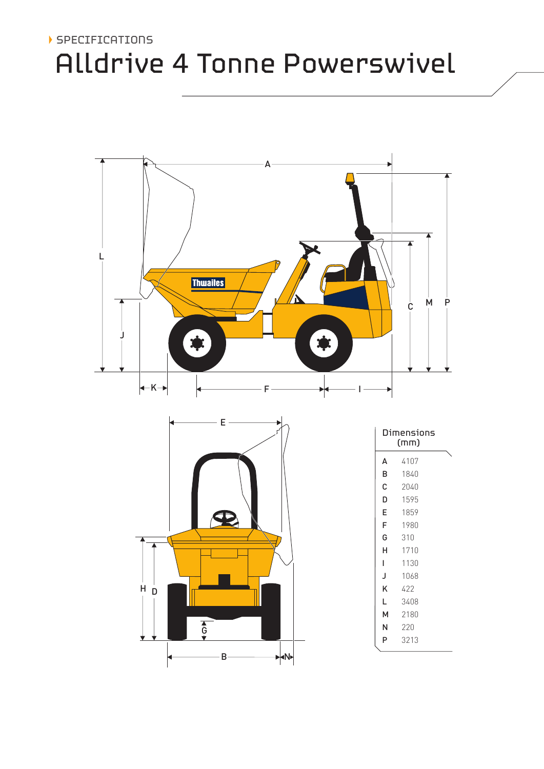# Alldrive 4 Tonne Powerswivel SPECIFICATIONS